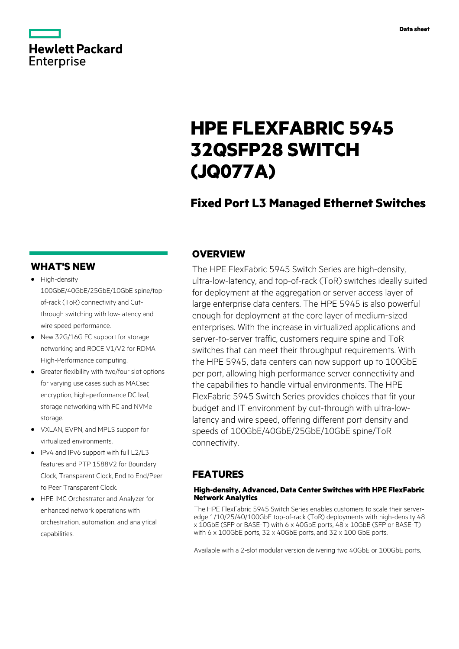# **Hewlett Packard** Enterprise

# **HPE FLEXFABRIC 5945 32QSFP28 SWITCH (JQ077A)**

## **Fixed Port L3 Managed Ethernet Switches**

### **WHAT'S NEW**

- **·** High-density 100GbE/40GbE/25GbE/10GbE spine/topof-rack (ToR) connectivity and Cutthrough switching with low-latency and wire speed performance.
- **·** New 32G/16G FC support for storage networking and ROCE V1/V2 for RDMA High-Performance computing.
- **·** Greater flexibility with two/four slot options for varying use cases such as MACsec encryption, high-performance DC leaf, storage networking with FC and NVMe storage.
- **·** VXLAN, EVPN, and MPLS support for virtualized environments.
- **·** IPv4 and IPv6 support with full L2/L3 features and PTP 1588V2 for Boundary Clock, Transparent Clock, End to End/Peer to Peer Transparent Clock.
- **·** HPE IMC Orchestrator and Analyzer for enhanced network operations with orchestration, automation, and analytical capabilities.

### **OVERVIEW**

The HPE FlexFabric 5945 Switch Series are high-density, ultra-low-latency, and top-of-rack (ToR) switches ideally suited for deployment at the aggregation or server access layer of large enterprise data centers. The HPE 5945 is also powerful enough for deployment at the core layer of medium-sized enterprises. With the increase in virtualized applications and server-to-server traffic, customers require spine and ToR switches that can meet their throughput requirements. With the HPE 5945, data centers can now support up to 100GbE per port, allowing high performance server connectivity and the capabilities to handle virtual environments. The HPE FlexFabric 5945 Switch Series provides choices that fit your budget and IT environment by cut-through with ultra-lowlatency and wire speed, offering different port density and speeds of 100GbE/40GbE/25GbE/10GbE spine/ToR connectivity.

### **FEATURES**

### **High-density, Advanced, Data Center Switches with HPE FlexFabric Network Analytics**

The HPE FlexFabric 5945 Switch Series enables customers to scale their serveredge 1/10/25/40/100GbE top-of-rack (ToR) deployments with high-density 48 x 10GbE (SFP or BASE-T) with 6 x 40GbE ports, 48 x 10GbE (SFP or BASE-T) with 6 x 100GbE ports, 32 x 40GbE ports, and 32 x 100 GbE ports.

Available with a 2-slot modular version delivering two 40GbE or 100GbE ports,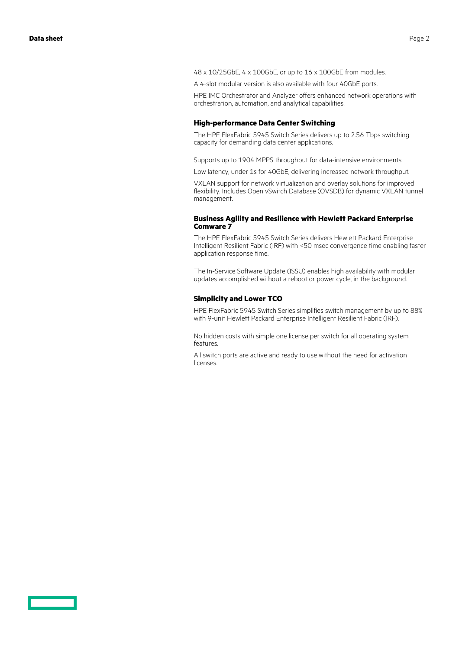- 48 x 10/25GbE, 4 x 100GbE, or up to 16 x 100GbE from modules.
- A 4-slot modular version is also available with four 40GbE ports.

HPE IMC Orchestrator and Analyzer offers enhanced network operations with orchestration, automation, and analytical capabilities.

#### **High-performance Data Center Switching**

The HPE FlexFabric 5945 Switch Series delivers up to 2.56 Tbps switching capacity for demanding data center applications.

Supports up to 1904 MPPS throughput for data-intensive environments.

Low latency, under 1s for 40GbE, delivering increased network throughput.

VXLAN support for network virtualization and overlay solutions for improved flexibility. Includes Open vSwitch Database (OVSDB) for dynamic VXLAN tunnel management.

#### **Business Agility and Resilience with Hewlett Packard Enterprise Comware 7**

The HPE FlexFabric 5945 Switch Series delivers Hewlett Packard Enterprise Intelligent Resilient Fabric (IRF) with <50 msec convergence time enabling faster application response time.

The In-Service Software Update (ISSU) enables high availability with modular updates accomplished without a reboot or power cycle, in the background.

### **Simplicity and Lower TCO**

HPE FlexFabric 5945 Switch Series simplifies switch management by up to 88% with 9-unit Hewlett Packard Enterprise Intelligent Resilient Fabric (IRF).

No hidden costs with simple one license per switch for all operating system features.

All switch ports are active and ready to use without the need for activation licenses.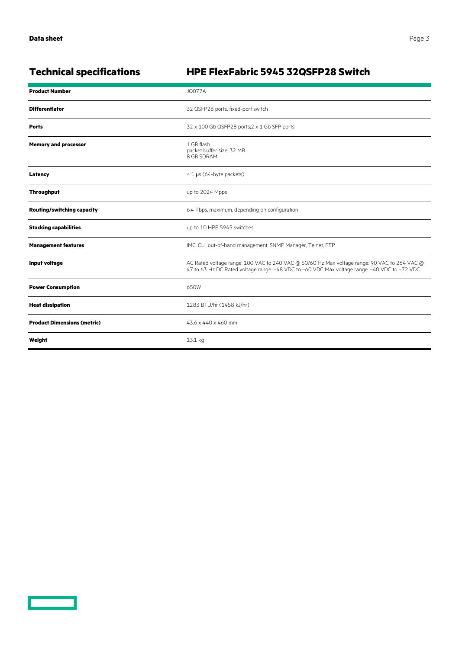<u>a sa saidh an san Saorann an S</u>

### **Technical specifications HPE FlexFabric 5945 32QSFP28 Switch**

| <b>Product Number</b>              | <b>JQ077A</b>                                                                                                                                                                                |
|------------------------------------|----------------------------------------------------------------------------------------------------------------------------------------------------------------------------------------------|
| <b>Differentiator</b>              | 32 QSFP28 ports, fixed-port switch                                                                                                                                                           |
| <b>Ports</b>                       | 32 x 100 Gb QSFP28 ports; 2 x 1 Gb SFP ports                                                                                                                                                 |
| <b>Memory and processor</b>        | 1 GB flash<br>packet buffer size: 32 MB<br>8 GB SDRAM                                                                                                                                        |
| Latency                            | < 1 µs (64-byte packets)                                                                                                                                                                     |
| <b>Throughput</b>                  | up to 2024 Mpps                                                                                                                                                                              |
| <b>Routing/switching capacity</b>  | 6.4 Tbps, maximum, depending on configuration                                                                                                                                                |
| <b>Stacking capabilities</b>       | up to 10 HPE 5945 switches                                                                                                                                                                   |
| <b>Management features</b>         | IMC, CLI, out-of-band management, SNMP Manager, Telnet, FTP                                                                                                                                  |
| Input voltage                      | AC Rated voltage range: 100 VAC to 240 VAC @ 50/60 Hz Max voltage range: 90 VAC to 264 VAC @<br>47 to 63 Hz DC Rated voltage range: -48 VDC to -60 VDC Max voltage range: -40 VDC to -72 VDC |
| <b>Power Consumption</b>           | 650W                                                                                                                                                                                         |
| <b>Heat dissipation</b>            | 1283 BTU/hr (1458 kJ/hr)                                                                                                                                                                     |
| <b>Product Dimensions (metric)</b> | 43.6 x 440 x 460 mm                                                                                                                                                                          |
| Weight                             | 13.1 kg                                                                                                                                                                                      |